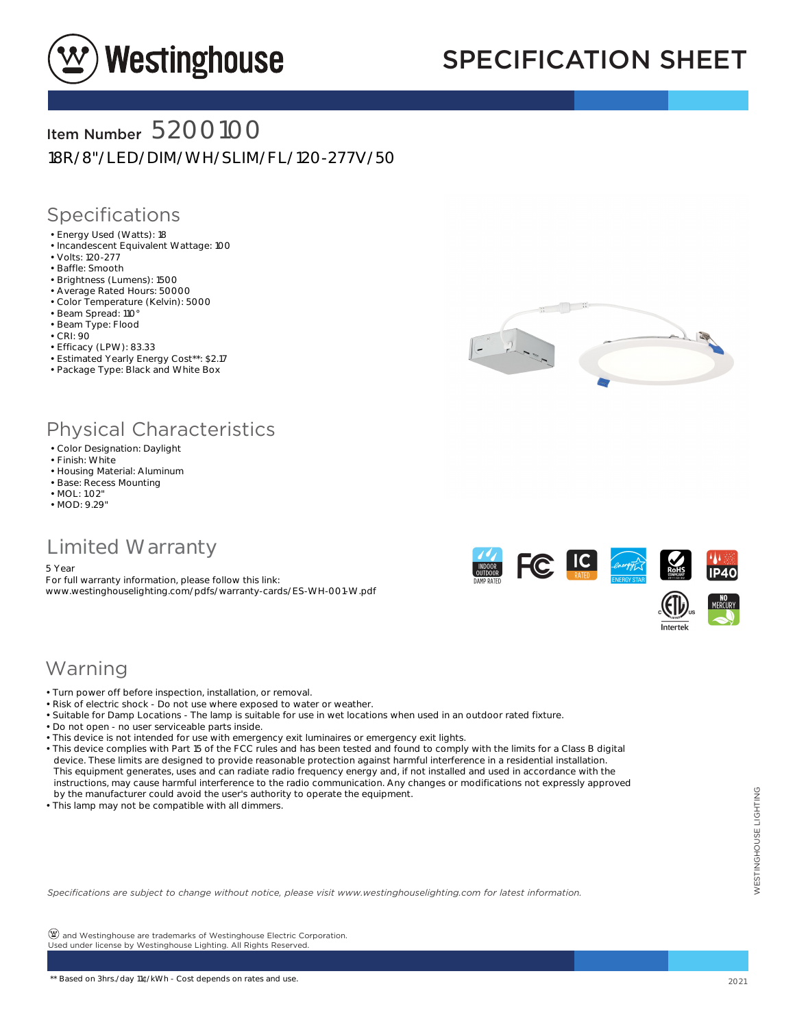

# SPECIFICATION SHEET

### Item Number 5200100

18R/8"/LED/DIM/WH/SLIM/FL/120-277V/50

#### Specifications

- Energy Used (Watts): 18
- Incandescent Equivalent Wattage: 100
- Volts: 120-277
- Baffle: Smooth
- Brightness (Lumens): 1500
- Average Rated Hours: 50000
- Color Temperature (Kelvin): 5000
- Beam Spread: 110°
- Beam Type: Flood
- CRI: 90
- Efficacy (LPW): 83.33
- Estimated Yearly Energy Cost\*\*: \$2.17 • Package Type: Black and White Box



### Physical Characteristics

- Color Designation: Daylight
- Finish: White
- Housing Material: Aluminum
- Base: Recess Mounting
- MOL: 1.02" • MOD: 9.29"

### Limited Warranty

5 Year

For full warranty information, please follow this link: www.westinghouselighting.com/pdfs/warranty-cards/ES-WH-001-W.pdf



#### Warning

- Turn power off before inspection, installation, or removal.
- Risk of electric shock Do not use where exposed to water or weather.
- Suitable for Damp Locations The lamp is suitable for use in wet locations when used in an outdoor rated fixture.
- Do not open no user serviceable parts inside.
- This device is not intended for use with emergency exit luminaires or emergency exit lights.
- This device complies with Part 15 of the FCC rules and has been tested and found to comply with the limits for a Class B digital device. These limits are designed to provide reasonable protection against harmful interference in a residential installation. This equipment generates, uses and can radiate radio frequency energy and, if not installed and used in accordance with the instructions, may cause harmful interference to the radio communication. Any changes or modifications not expressly approved by the manufacturer could avoid the user's authority to operate the equipment.
- This lamp may not be compatible with all dimmers.

*Specifications are subject to change without notice, please visit www.westinghouselighting.com for latest information.*

 $\circledPsi$  and Westinghouse are trademarks of Westinghouse Electric Corporation. Used under license by Westinghouse Lighting. All Rights Reserved.